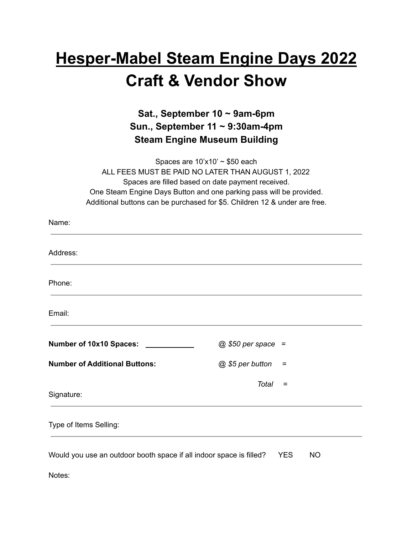## **Hesper-Mabel Steam Engine Days 2022 Craft & Vendor Show**

## **Sat., September 10 ~ 9am-6pm Sun., September 11 ~ 9:30am-4pm Steam Engine Museum Building**

Spaces are  $10'x10' \sim $50$  each ALL FEES MUST BE PAID NO LATER THAN AUGUST 1, 2022 Spaces are filled based on date payment received. One Steam Engine Days Button and one parking pass will be provided. Additional buttons can be purchased for \$5. Children 12 & under are free.

| Name:                                                               |                         |
|---------------------------------------------------------------------|-------------------------|
| Address:                                                            |                         |
| Phone:                                                              |                         |
| Email:                                                              |                         |
| Number of 10x10 Spaces:                                             | $@$ \$50 per space =    |
| <b>Number of Additional Buttons:</b>                                | @ \$5 per button<br>Ξ   |
| Signature:                                                          | Total<br>$=$            |
| Type of Items Selling:                                              |                         |
| Would you use an outdoor booth space if all indoor space is filled? | <b>YES</b><br><b>NO</b> |
| Notes:                                                              |                         |